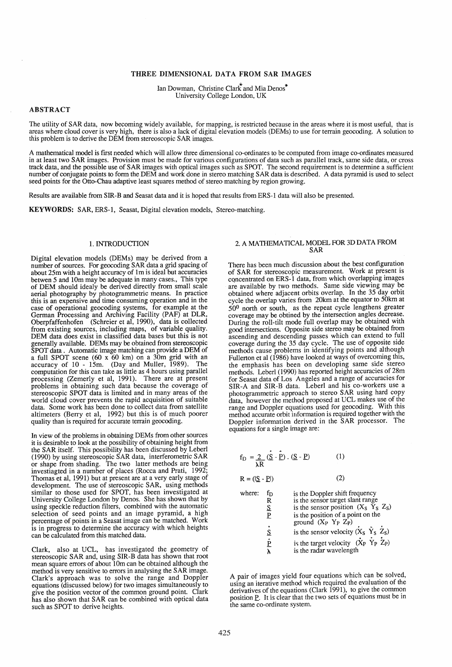# THREE DIMENSIONAL DATA FROM SAR IMAGES

Ian Dowman, Christine Clark and Mia Denos<sup>\*</sup> University College London, UK

## ABSTRACT

The utility of SAR data, now becoming widely available, for mapping, is restricted because in the areas where it is most useful, that is areas where cloud cover is very high, there is also a lack of digital elevation models (DEMs) to use for terrain geocoding. A solution to this problem is to derive the DEM from stereoscopic SAR images.

A mathematical model is first needed which will allow three dimensional co-ordinates to be computed from image co-ordinates measured in at least two SAR images. Provision must be made for various conflgurations of data such as parallel track, same side data, or cross track data, and the possible use of SAR images with optical images such as SPOT. The second requirement is to detennine a sufficient number of conjugate points to fonn the DEM and work done in stereo matching SAR data is described. A data pyramid is used to select seed points for the Otto-Chau adaptive least squares method of stereo matching by region growing.

Results are available from SIR -B and Seasat data and it is hoped that results from ERS-l data will also be presented.

KEYWORDS: SAR, ERS-l, Seasat, Digital elevation models, Stereo-matching.

## 1. INTRODUCTION

Digital elevation models (DEMs) may be derived from a number of sources. For geocoding SAR data a grid spacing of about 25m with a height accuracy of 1m is ideal but accuracies betwen 5 and 10m may be adequate in many cases., This type of DEM should idealy be derived directly from small scale aerial photography by photogrammetric means. In practice this is an expensive and time consuming operation and in the case of operational geocoding systems, for example at the German Processing and Archiving Facility (PAF) at DLR, Oberpfaffenhofen (Schreier et aI, 1990), data is collected from existing sources, including maps, of variable quality. DEM data does exist in classified data bases but this is not generally available. DEMs may be obtained from stereoscopic SPOT data. Automatic image matching can provide a DEM of<br>a full SPOT scene (60 x 60 km) on a 30m grid with an accuracy of 10 - 15m. (Day and Muller, 1989). The computation for this can take as little as 4 hours using parallel processing (Zemerly et aI, 1991). There are at present problems in obtaining such data because the coverage of stereoscopic SPOT data is limited and in many areas of the world cloud cover prevents the rapid acquisition of suitable data. Some work has been done to collect data from satellite altimeters (Berry et aI, 1992) but this is of much poorer quality than is required for accurate terrain geocoding.

In view of the problems in obtaining DEMs from other sources it is desirable to look at the possibility of obtaining height from the SAR itself. This possibility has been discussed by Leberl (1990) by using stereoscopic SAR data, interferometric SAR or shape from shading. The two latter methods are being investiagted in a number of places (Rocca and Prati, 1992 Thomas et aI, 1991) but at present are at a very early stage of development. The use of stereoscopic SAR, using methods similar to those used for SPOT, has been investigated at University College London by Denos. She has shown that by using speckle reduction filters, combined with the automatic selection of seed points and an image pyramid, a high percentage of points in a Seasat image can be matched. Work is in progress to determine the accuracy with which heights can be calculated from this matched data.

Clark, also at UCL, has investigated the geometry of stereoscopic SAR and, using SIR-B data has shown that root mean square errors of about 10m can be obtained although the method is very sensitive to errors in analysing the SAR image. Clark's approach was to solve the range and Doppler equations (discussed below) for two images simultaneously to give the position vector of the common ground point. Clark has also shown that SAR can be combined with optical data such as SPOT to derive heights.

### 2. A MATHEMATICAL MODEL FOR 3D DATA FROM SAR

There has been much discussion about the best conflguration of SAR for stereoscopic measurement. Work at present is concentrated on ERS-1 data, from which overlapping images are available by two methods. Same side viewing may be obtained where adjacent orbits overlap. In the 35 day orbit cycle the overlap varies from 20km at the equator to 50km at 500 north or south, as the repeat cycle lengthens greater coverage may be obtined by the intersection angles decrease. During the roll-tilt mode full overlap may be obtained with good intersections. Opposite side stereo may be obtained from ascending and descending passes which can extend to full coverage during the 35 day cycle. The use of opposite side methods cause problems in identifying points and although Fullerton et al (1986) have looked at ways of overcoming this, the emphasis has been on developing same side stereo methods. Leberl (1990) has reported height accuracies of 28m for Seasat data of Los Angeles and a range of accuracies for SIR-A and SIR-B data. Leberl and his co-workers use a photogrammetric approach to stereo SAR using hard copy data, however the method proposed at UCL makes use of the range and Doppler equations used for geocoding. With this method accurate orbit information is required together with the Doppler information derived in the SAR processor. The equations for a single image are:

|                 | $f_D = \frac{2}{\lambda R} (\underline{S} - \underline{P}) \cdot (\underline{S} - \underline{P})$ | (1)                                                                                                                                                                                                                                                                                                                                           |  |  |  |
|-----------------|---------------------------------------------------------------------------------------------------|-----------------------------------------------------------------------------------------------------------------------------------------------------------------------------------------------------------------------------------------------------------------------------------------------------------------------------------------------|--|--|--|
| $R = ( S - P )$ |                                                                                                   | (2)                                                                                                                                                                                                                                                                                                                                           |  |  |  |
| where:          | İD<br>R<br>$\frac{S}{P}$<br>۰<br><u>s</u><br>م<br>م                                               | is the Doppler shift frequency<br>is the sensor target slant range<br>is the sensor position $(X_S Y_S Z_S)$<br>is the position of a point on the<br>ground $(X_P Y_P Z_P)$<br>is the sensor velocity $(X_S \ Y_S Z_S)$<br>is the target velocity $(\mathbf{\dot{X}}_P \ \mathbf{\dot{Y}}_P \ \mathbf{\dot{Z}}_P)$<br>is the radar wavelength |  |  |  |

A pair of images yield four equations which can be solved, using an iterative method which required the evaluation of the derivatives of the equations (Clark 1991), to give the common position P. It is clear that the two sets of equations must be in the same co-ordinate system.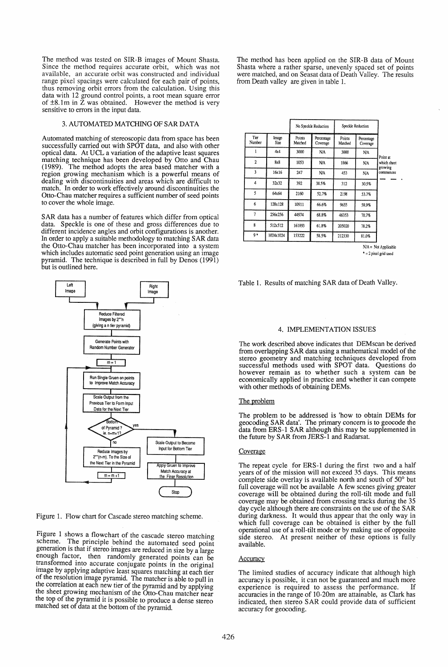The method was tested on SIR-B images of Mount Shasta. Since the method requires accurate orbit, which was not available, an accurate orbit was constructed and individual range pixel spacings were calculated for each pair of points, thus removing orbit errors from the calculation. Using this data with 12 ground control points, a root mean square error of ±8.1m in Z was obtained. However the method is very sensitive to errors in the input data.

### 3. AUTOMATED MATCHING OF SAR DATA

Automated matching of stereoscopic data from space has been successfully carried out with SPOT data, and also with other optical data. At UCL a variation of the adaptive least squares matching technique has been developed by Otto and Chau (1989). The method adopts the area based matcher with a (1989). The method adopts the area based matcher with a region growing mechanism which is a powerful means of dealing with discontinuities and areas which are difficult to match. In order to work effectively around discontinuities the Otto-Chau matcher requires a sufficient number of seed points to cover the whole image.

SAR data has a number of features which differ from optical data. Speckle is one of these and gross differences due to different incidence angles and orbit configurations is another. In order to apply a suitable methodology to matching SAR data the Otto-Chau matcher has been incorporated into a system which includes automatic seed point generation using an image pyramid. The technique is described in full by Denos (1991) but is outlined here.



Figure 1. Flow chart for Cascade stereo matching scheme.

Figure 1 shows a flowchart of the cascade stereo matching scheme. The principle behind the automated seed point generation is that if stereo images are reduced in size by a large enough factor, then randomly generated points can be transformed into accurate conjugate points in the original Image by applying adaptive least squares matching at each tier of the resolution image pyramid. The matcher is able to pull in the correlation at each new tier of the pyramid and by applying the sheet growing mechanism of the Otto-Chau matcher near the top of the pyramid it is possible to produce a dense stereo matched set of data at the bottom of the pyramid.

The method has been applied on the SIR-B data of Mount Shasta where a rather sparse, unevenly spaced set of points were matched, and on Seasat data of Death Valley. The results from Death valley are given in table 1.

|                |               | No Speckle Reduction |                        | Speckle Reduction |                        |                         |
|----------------|---------------|----------------------|------------------------|-------------------|------------------------|-------------------------|
| Tier<br>Number | Image<br>Size | Points<br>Matched    | Percentage<br>Coverage | Points<br>Matched | Percentage<br>Coverage |                         |
|                | 4x4           | 3000                 | N/A                    | 3000              | N/A                    |                         |
| $\overline{a}$ | 8x8           | 1053                 | N/A                    | 1866              | NΛ.                    | Point at<br>which sheet |
| 3              | 16x16         | 247                  | <b>N/A</b>             | 453               | N/A                    | growing<br>commences    |
| 4              | 32x32         | 392                  | 38.5%                  | 312               | 30.5%                  |                         |
| 5              | 64x64         | 2160                 | 52.7%                  | 2198              | 53.7%                  |                         |
| 6              | 128x128       | 10911                | 66.6%                  | 9655              | 58.9%                  |                         |
| $\overline{7}$ | 256x256       | 44974                | 68.8%                  | 46353             | 70.7%                  |                         |
| 8              | 512x512       | 161893               | 61.8%                  | 205020            | 78.2%                  |                         |
| $q*$           | 1024x1024     | 153222               | 58.5%                  | 212330            | 81.0%                  |                         |

N/A = Not Applicable • = 2 pixel grid used



#### 4. IMPLEMENTATION ISSUES

The work described above indicates that DEMscan be derived from overlapping SAR data using a mathematical model of the stereo geometry and matching techniques developed from successful methods used with SPOT data. Questions do however remain as to whether such a system can be economically applied in practice and whether it can compete with other methods of obtaining DEMs.

#### The problem

The problem to be addressed is 'how to obtain DEMs for geocoding SAR data'. The primary concern is to geocode the data from ERS-l SAR although this may be supplemented in the future by SAR from JERS-1 and Radarsat.

#### Coverage

The repeat cycle for ERS-1 during the first two and a half years of of the mission will not exceed 35 days. This means complete side overlay is available north and south of 50° but full coverage will not be available A few scenes giving greater coverage will be obtained during the roll-tilt mode and full coverage may be obtained from crossing tracks during the 35 day cycle although there are constraints on the use of the SAR during darkness. It would thus appear that the only way in which full coverage can be obtained is either by the full operational use of a roll-tilt mode or by making use of opposite side stereo. At present neither of these options is fully available.

#### **Accuracy**

The limited studies of accuracy indicate that although high accuracy is possible, it can not be guaranteed and much more experience is required to assess the performance. If accuracies in the range of 1O-20m are attainable, as Clark has indicated, then stereo SAR could provide data of sufficient accuracy for geocoding.